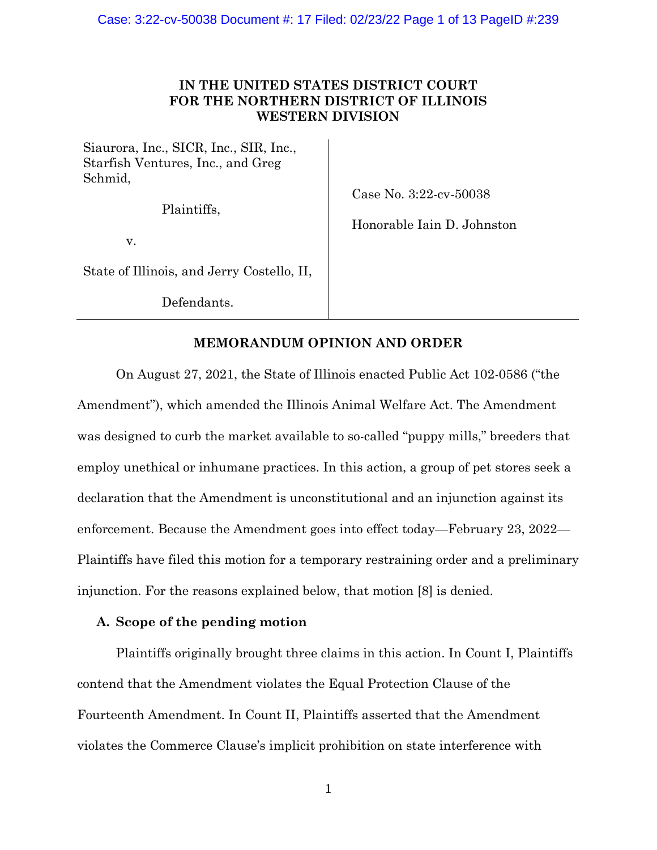# **IN THE UNITED STATES DISTRICT COURT FOR THE NORTHERN DISTRICT OF ILLINOIS WESTERN DIVISION**

Siaurora, Inc., SICR, Inc., SIR, Inc., Starfish Ventures, Inc., and Greg Schmid,

Plaintiffs,

Case No. 3:22-cv-50038

Honorable Iain D. Johnston

v.

State of Illinois, and Jerry Costello, II,

Defendants.

## **MEMORANDUM OPINION AND ORDER**

On August 27, 2021, the State of Illinois enacted Public Act 102-0586 ("the Amendment"), which amended the Illinois Animal Welfare Act. The Amendment was designed to curb the market available to so-called "puppy mills," breeders that employ unethical or inhumane practices. In this action, a group of pet stores seek a declaration that the Amendment is unconstitutional and an injunction against its enforcement. Because the Amendment goes into effect today—February 23, 2022— Plaintiffs have filed this motion for a temporary restraining order and a preliminary injunction. For the reasons explained below, that motion [8] is denied.

## **A. Scope of the pending motion**

Plaintiffs originally brought three claims in this action. In Count I, Plaintiffs contend that the Amendment violates the Equal Protection Clause of the Fourteenth Amendment. In Count II, Plaintiffs asserted that the Amendment violates the Commerce Clause's implicit prohibition on state interference with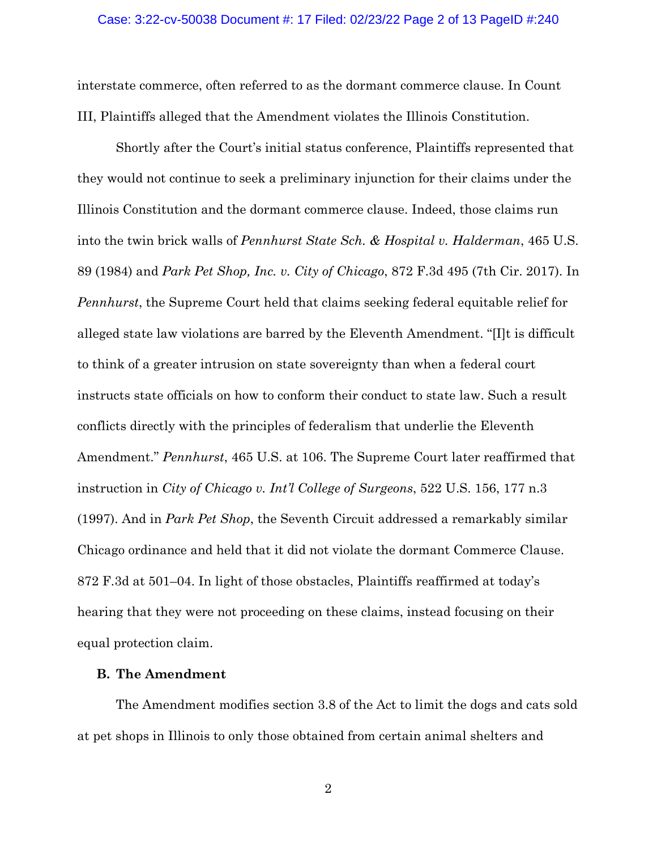interstate commerce, often referred to as the dormant commerce clause. In Count III, Plaintiffs alleged that the Amendment violates the Illinois Constitution.

Shortly after the Court's initial status conference, Plaintiffs represented that they would not continue to seek a preliminary injunction for their claims under the Illinois Constitution and the dormant commerce clause. Indeed, those claims run into the twin brick walls of *Pennhurst State Sch. & Hospital v. Halderman*, 465 U.S. 89 (1984) and *Park Pet Shop, Inc. v. City of Chicago*, 872 F.3d 495 (7th Cir. 2017). In *Pennhurst*, the Supreme Court held that claims seeking federal equitable relief for alleged state law violations are barred by the Eleventh Amendment. "[I]t is difficult to think of a greater intrusion on state sovereignty than when a federal court instructs state officials on how to conform their conduct to state law. Such a result conflicts directly with the principles of federalism that underlie the Eleventh Amendment." *Pennhurst*, 465 U.S. at 106. The Supreme Court later reaffirmed that instruction in *City of Chicago v. Int'l College of Surgeons*, 522 U.S. 156, 177 n.3 (1997). And in *Park Pet Shop*, the Seventh Circuit addressed a remarkably similar Chicago ordinance and held that it did not violate the dormant Commerce Clause. 872 F.3d at 501–04. In light of those obstacles, Plaintiffs reaffirmed at today's hearing that they were not proceeding on these claims, instead focusing on their equal protection claim.

### **B. The Amendment**

The Amendment modifies section 3.8 of the Act to limit the dogs and cats sold at pet shops in Illinois to only those obtained from certain animal shelters and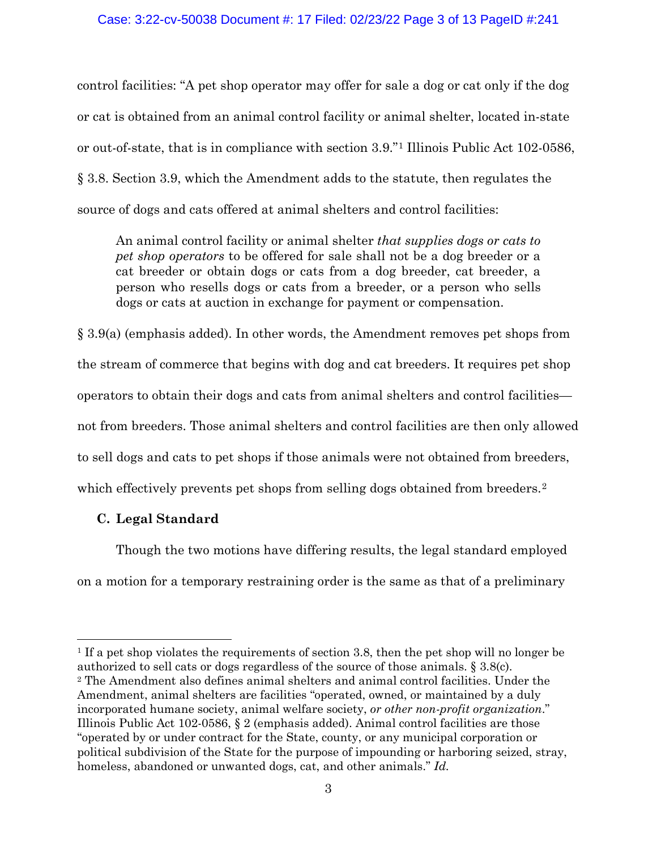## Case: 3:22-cv-50038 Document #: 17 Filed: 02/23/22 Page 3 of 13 PageID #:241

control facilities: "A pet shop operator may offer for sale a dog or cat only if the dog or cat is obtained from an animal control facility or animal shelter, located in-state or out-of-state, that is in compliance with section 3.9."1 Illinois Public Act 102-0586, § 3.8. Section 3.9, which the Amendment adds to the statute, then regulates the source of dogs and cats offered at animal shelters and control facilities:

An animal control facility or animal shelter *that supplies dogs or cats to pet shop operators* to be offered for sale shall not be a dog breeder or a cat breeder or obtain dogs or cats from a dog breeder, cat breeder, a person who resells dogs or cats from a breeder, or a person who sells dogs or cats at auction in exchange for payment or compensation.

§ 3.9(a) (emphasis added). In other words, the Amendment removes pet shops from the stream of commerce that begins with dog and cat breeders. It requires pet shop operators to obtain their dogs and cats from animal shelters and control facilities not from breeders. Those animal shelters and control facilities are then only allowed to sell dogs and cats to pet shops if those animals were not obtained from breeders, which effectively prevents pet shops from selling dogs obtained from breeders.<sup>2</sup>

## **C. Legal Standard**

Though the two motions have differing results, the legal standard employed on a motion for a temporary restraining order is the same as that of a preliminary

<sup>1</sup> If a pet shop violates the requirements of section 3.8, then the pet shop will no longer be authorized to sell cats or dogs regardless of the source of those animals. § 3.8(c). <sup>2</sup> The Amendment also defines animal shelters and animal control facilities. Under the Amendment, animal shelters are facilities "operated, owned, or maintained by a duly incorporated humane society, animal welfare society, *or other non-profit organization*." Illinois Public Act 102-0586, § 2 (emphasis added). Animal control facilities are those "operated by or under contract for the State, county, or any municipal corporation or political subdivision of the State for the purpose of impounding or harboring seized, stray, homeless, abandoned or unwanted dogs, cat, and other animals." *Id.*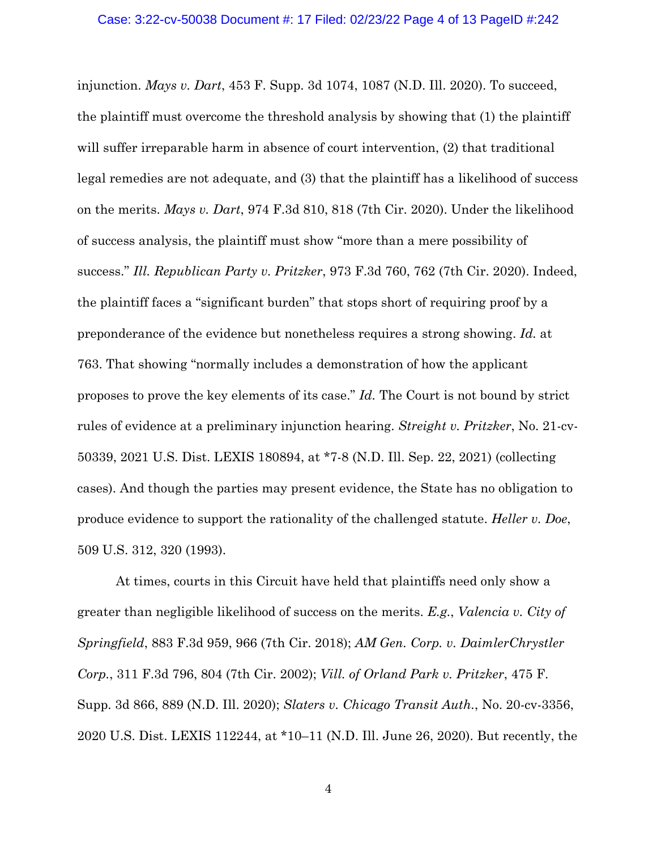injunction. *Mays v. Dart*, 453 F. Supp. 3d 1074, 1087 (N.D. Ill. 2020). To succeed, the plaintiff must overcome the threshold analysis by showing that (1) the plaintiff will suffer irreparable harm in absence of court intervention, (2) that traditional legal remedies are not adequate, and (3) that the plaintiff has a likelihood of success on the merits. *Mays v. Dart*, 974 F.3d 810, 818 (7th Cir. 2020). Under the likelihood of success analysis, the plaintiff must show "more than a mere possibility of success." *Ill. Republican Party v. Pritzker*, 973 F.3d 760, 762 (7th Cir. 2020). Indeed, the plaintiff faces a "significant burden" that stops short of requiring proof by a preponderance of the evidence but nonetheless requires a strong showing. *Id.* at 763. That showing "normally includes a demonstration of how the applicant proposes to prove the key elements of its case." *Id.* The Court is not bound by strict rules of evidence at a preliminary injunction hearing. *Streight v. Pritzker*, No. 21-cv-50339, 2021 U.S. Dist. LEXIS 180894, at \*7-8 (N.D. Ill. Sep. 22, 2021) (collecting cases). And though the parties may present evidence, the State has no obligation to produce evidence to support the rationality of the challenged statute. *Heller v. Doe*, 509 U.S. 312, 320 (1993).

At times, courts in this Circuit have held that plaintiffs need only show a greater than negligible likelihood of success on the merits. *E.g.*, *Valencia v. City of Springfield*, 883 F.3d 959, 966 (7th Cir. 2018); *AM Gen. Corp. v. DaimlerChrystler Corp.*, 311 F.3d 796, 804 (7th Cir. 2002); *Vill. of Orland Park v. Pritzker*, 475 F. Supp. 3d 866, 889 (N.D. Ill. 2020); *Slaters v. Chicago Transit Auth.*, No. 20-cv-3356, 2020 U.S. Dist. LEXIS 112244, at \*10–11 (N.D. Ill. June 26, 2020). But recently, the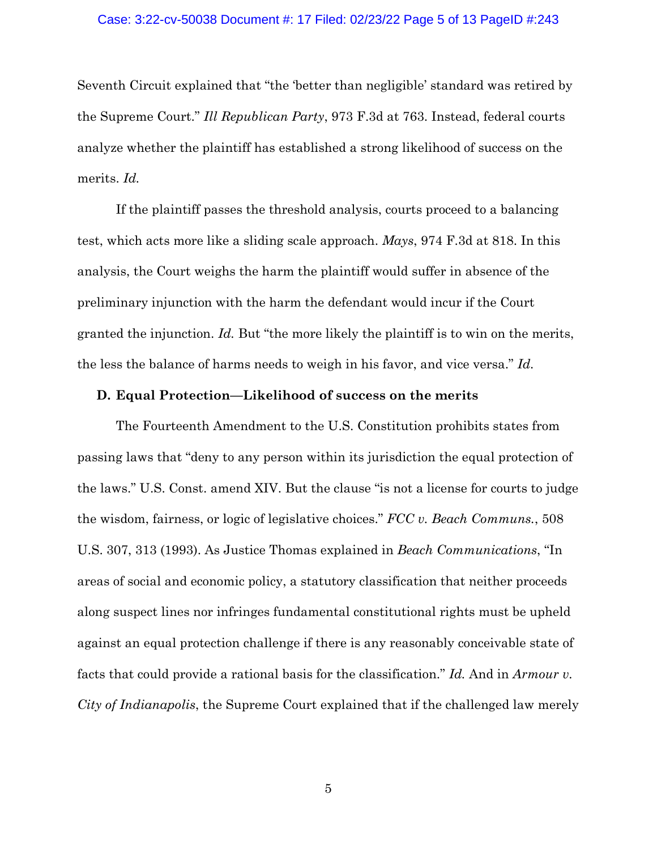#### Case: 3:22-cv-50038 Document #: 17 Filed: 02/23/22 Page 5 of 13 PageID #:243

Seventh Circuit explained that "the 'better than negligible' standard was retired by the Supreme Court." *Ill Republican Party*, 973 F.3d at 763. Instead, federal courts analyze whether the plaintiff has established a strong likelihood of success on the merits. *Id.*

If the plaintiff passes the threshold analysis, courts proceed to a balancing test, which acts more like a sliding scale approach. *Mays*, 974 F.3d at 818. In this analysis, the Court weighs the harm the plaintiff would suffer in absence of the preliminary injunction with the harm the defendant would incur if the Court granted the injunction. *Id.* But "the more likely the plaintiff is to win on the merits, the less the balance of harms needs to weigh in his favor, and vice versa." *Id.*

### **D. Equal Protection—Likelihood of success on the merits**

The Fourteenth Amendment to the U.S. Constitution prohibits states from passing laws that "deny to any person within its jurisdiction the equal protection of the laws." U.S. Const. amend XIV. But the clause "is not a license for courts to judge the wisdom, fairness, or logic of legislative choices." *FCC v. Beach Communs.*, 508 U.S. 307, 313 (1993). As Justice Thomas explained in *Beach Communications*, "In areas of social and economic policy, a statutory classification that neither proceeds along suspect lines nor infringes fundamental constitutional rights must be upheld against an equal protection challenge if there is any reasonably conceivable state of facts that could provide a rational basis for the classification." *Id.* And in *Armour v. City of Indianapolis*, the Supreme Court explained that if the challenged law merely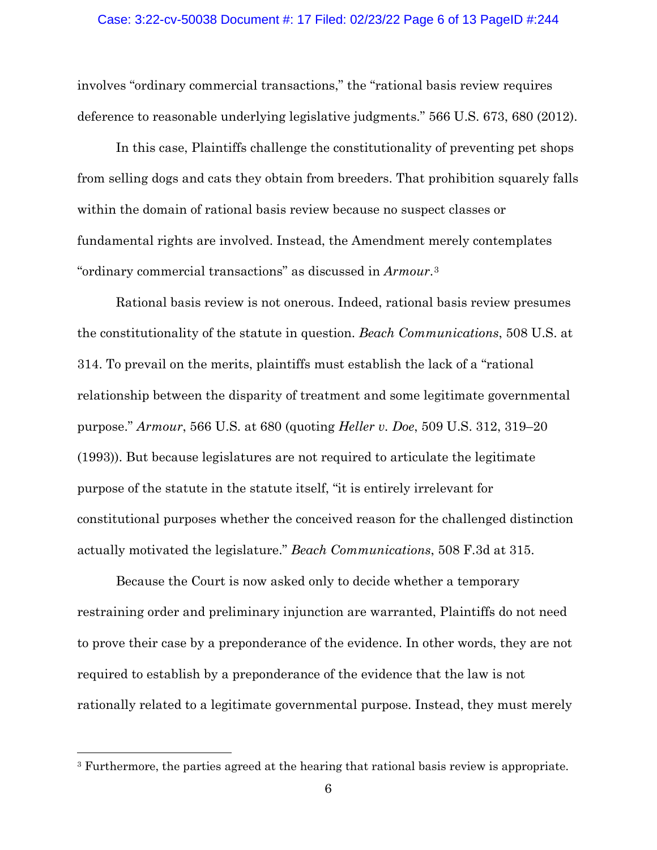#### Case: 3:22-cv-50038 Document #: 17 Filed: 02/23/22 Page 6 of 13 PageID #:244

involves "ordinary commercial transactions," the "rational basis review requires deference to reasonable underlying legislative judgments." 566 U.S. 673, 680 (2012).

In this case, Plaintiffs challenge the constitutionality of preventing pet shops from selling dogs and cats they obtain from breeders. That prohibition squarely falls within the domain of rational basis review because no suspect classes or fundamental rights are involved. Instead, the Amendment merely contemplates "ordinary commercial transactions" as discussed in *Armour*.3

Rational basis review is not onerous. Indeed, rational basis review presumes the constitutionality of the statute in question. *Beach Communications*, 508 U.S. at 314. To prevail on the merits, plaintiffs must establish the lack of a "rational relationship between the disparity of treatment and some legitimate governmental purpose." *Armour*, 566 U.S. at 680 (quoting *Heller v. Doe*, 509 U.S. 312, 319–20 (1993)). But because legislatures are not required to articulate the legitimate purpose of the statute in the statute itself, "it is entirely irrelevant for constitutional purposes whether the conceived reason for the challenged distinction actually motivated the legislature." *Beach Communications*, 508 F.3d at 315.

Because the Court is now asked only to decide whether a temporary restraining order and preliminary injunction are warranted, Plaintiffs do not need to prove their case by a preponderance of the evidence. In other words, they are not required to establish by a preponderance of the evidence that the law is not rationally related to a legitimate governmental purpose. Instead, they must merely

<sup>3</sup> Furthermore, the parties agreed at the hearing that rational basis review is appropriate.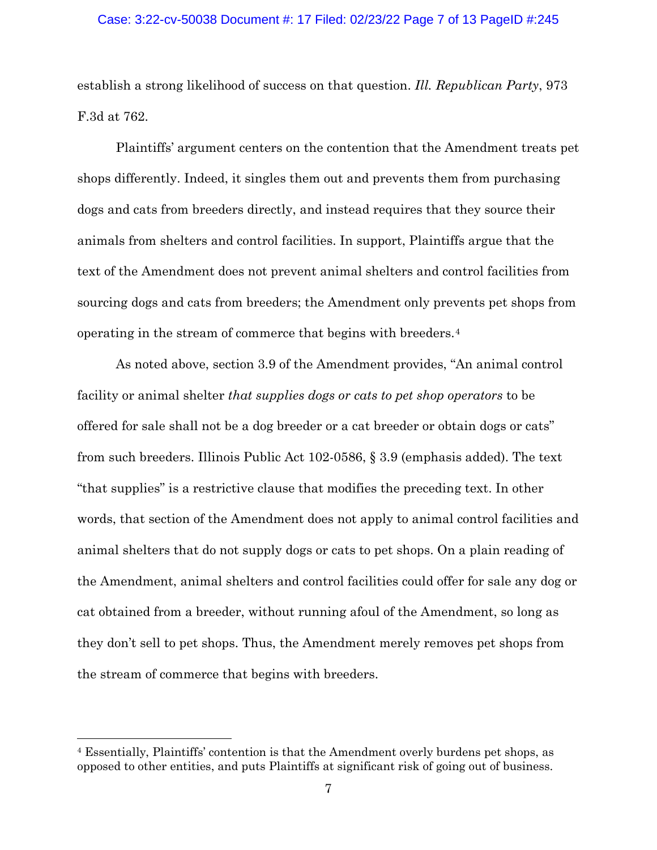### Case: 3:22-cv-50038 Document #: 17 Filed: 02/23/22 Page 7 of 13 PageID #:245

establish a strong likelihood of success on that question. *Ill. Republican Party*, 973 F.3d at 762.

Plaintiffs' argument centers on the contention that the Amendment treats pet shops differently. Indeed, it singles them out and prevents them from purchasing dogs and cats from breeders directly, and instead requires that they source their animals from shelters and control facilities. In support, Plaintiffs argue that the text of the Amendment does not prevent animal shelters and control facilities from sourcing dogs and cats from breeders; the Amendment only prevents pet shops from operating in the stream of commerce that begins with breeders.4

As noted above, section 3.9 of the Amendment provides, "An animal control facility or animal shelter *that supplies dogs or cats to pet shop operators* to be offered for sale shall not be a dog breeder or a cat breeder or obtain dogs or cats" from such breeders. Illinois Public Act 102-0586, § 3.9 (emphasis added). The text "that supplies" is a restrictive clause that modifies the preceding text. In other words, that section of the Amendment does not apply to animal control facilities and animal shelters that do not supply dogs or cats to pet shops. On a plain reading of the Amendment, animal shelters and control facilities could offer for sale any dog or cat obtained from a breeder, without running afoul of the Amendment, so long as they don't sell to pet shops. Thus, the Amendment merely removes pet shops from the stream of commerce that begins with breeders.

<sup>4</sup> Essentially, Plaintiffs' contention is that the Amendment overly burdens pet shops, as opposed to other entities, and puts Plaintiffs at significant risk of going out of business.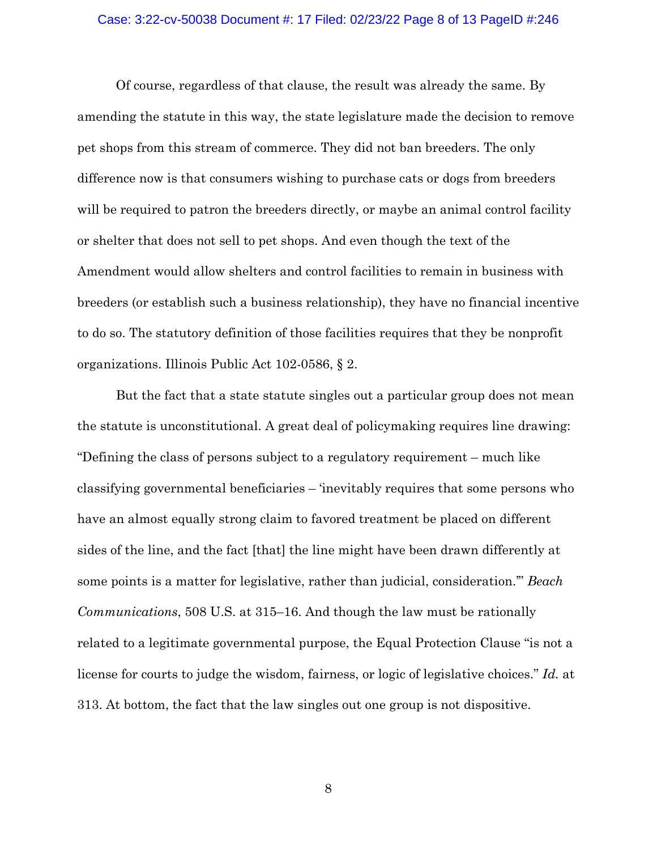#### Case: 3:22-cv-50038 Document #: 17 Filed: 02/23/22 Page 8 of 13 PageID #:246

Of course, regardless of that clause, the result was already the same. By amending the statute in this way, the state legislature made the decision to remove pet shops from this stream of commerce. They did not ban breeders. The only difference now is that consumers wishing to purchase cats or dogs from breeders will be required to patron the breeders directly, or maybe an animal control facility or shelter that does not sell to pet shops. And even though the text of the Amendment would allow shelters and control facilities to remain in business with breeders (or establish such a business relationship), they have no financial incentive to do so. The statutory definition of those facilities requires that they be nonprofit organizations. Illinois Public Act 102-0586, § 2.

But the fact that a state statute singles out a particular group does not mean the statute is unconstitutional. A great deal of policymaking requires line drawing: "Defining the class of persons subject to a regulatory requirement – much like classifying governmental beneficiaries – 'inevitably requires that some persons who have an almost equally strong claim to favored treatment be placed on different sides of the line, and the fact [that] the line might have been drawn differently at some points is a matter for legislative, rather than judicial, consideration.'" *Beach Communications*, 508 U.S. at 315–16. And though the law must be rationally related to a legitimate governmental purpose, the Equal Protection Clause "is not a license for courts to judge the wisdom, fairness, or logic of legislative choices." *Id.* at 313. At bottom, the fact that the law singles out one group is not dispositive.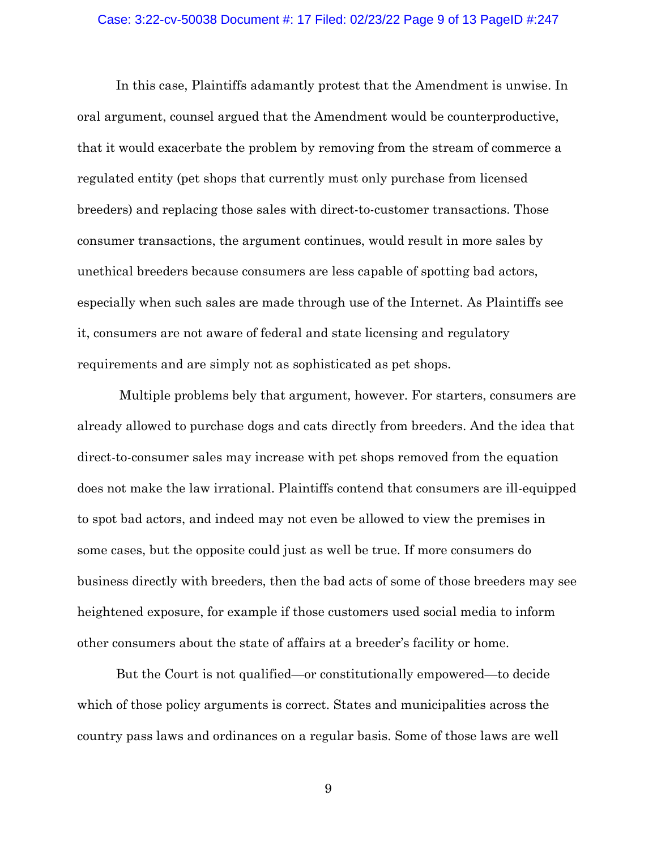#### Case: 3:22-cv-50038 Document #: 17 Filed: 02/23/22 Page 9 of 13 PageID #:247

In this case, Plaintiffs adamantly protest that the Amendment is unwise. In oral argument, counsel argued that the Amendment would be counterproductive, that it would exacerbate the problem by removing from the stream of commerce a regulated entity (pet shops that currently must only purchase from licensed breeders) and replacing those sales with direct-to-customer transactions. Those consumer transactions, the argument continues, would result in more sales by unethical breeders because consumers are less capable of spotting bad actors, especially when such sales are made through use of the Internet. As Plaintiffs see it, consumers are not aware of federal and state licensing and regulatory requirements and are simply not as sophisticated as pet shops.

Multiple problems bely that argument, however. For starters, consumers are already allowed to purchase dogs and cats directly from breeders. And the idea that direct-to-consumer sales may increase with pet shops removed from the equation does not make the law irrational. Plaintiffs contend that consumers are ill-equipped to spot bad actors, and indeed may not even be allowed to view the premises in some cases, but the opposite could just as well be true. If more consumers do business directly with breeders, then the bad acts of some of those breeders may see heightened exposure, for example if those customers used social media to inform other consumers about the state of affairs at a breeder's facility or home.

But the Court is not qualified—or constitutionally empowered—to decide which of those policy arguments is correct. States and municipalities across the country pass laws and ordinances on a regular basis. Some of those laws are well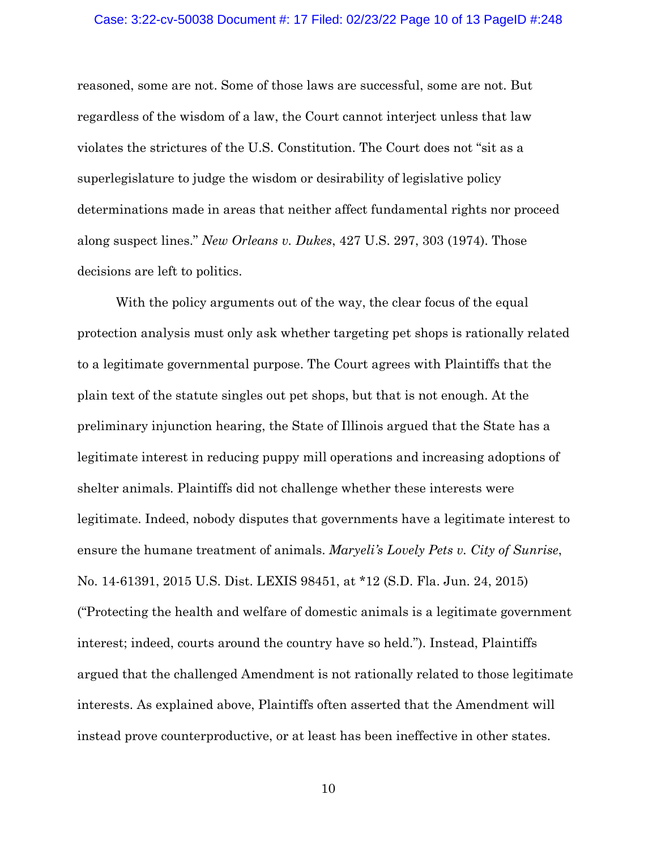#### Case: 3:22-cv-50038 Document #: 17 Filed: 02/23/22 Page 10 of 13 PageID #:248

reasoned, some are not. Some of those laws are successful, some are not. But regardless of the wisdom of a law, the Court cannot interject unless that law violates the strictures of the U.S. Constitution. The Court does not "sit as a superlegislature to judge the wisdom or desirability of legislative policy determinations made in areas that neither affect fundamental rights nor proceed along suspect lines." *New Orleans v. Dukes*, 427 U.S. 297, 303 (1974). Those decisions are left to politics.

With the policy arguments out of the way, the clear focus of the equal protection analysis must only ask whether targeting pet shops is rationally related to a legitimate governmental purpose. The Court agrees with Plaintiffs that the plain text of the statute singles out pet shops, but that is not enough. At the preliminary injunction hearing, the State of Illinois argued that the State has a legitimate interest in reducing puppy mill operations and increasing adoptions of shelter animals. Plaintiffs did not challenge whether these interests were legitimate. Indeed, nobody disputes that governments have a legitimate interest to ensure the humane treatment of animals. *Maryeli's Lovely Pets v. City of Sunrise*, No. 14-61391, 2015 U.S. Dist. LEXIS 98451, at \*12 (S.D. Fla. Jun. 24, 2015) ("Protecting the health and welfare of domestic animals is a legitimate government interest; indeed, courts around the country have so held."). Instead, Plaintiffs argued that the challenged Amendment is not rationally related to those legitimate interests. As explained above, Plaintiffs often asserted that the Amendment will instead prove counterproductive, or at least has been ineffective in other states.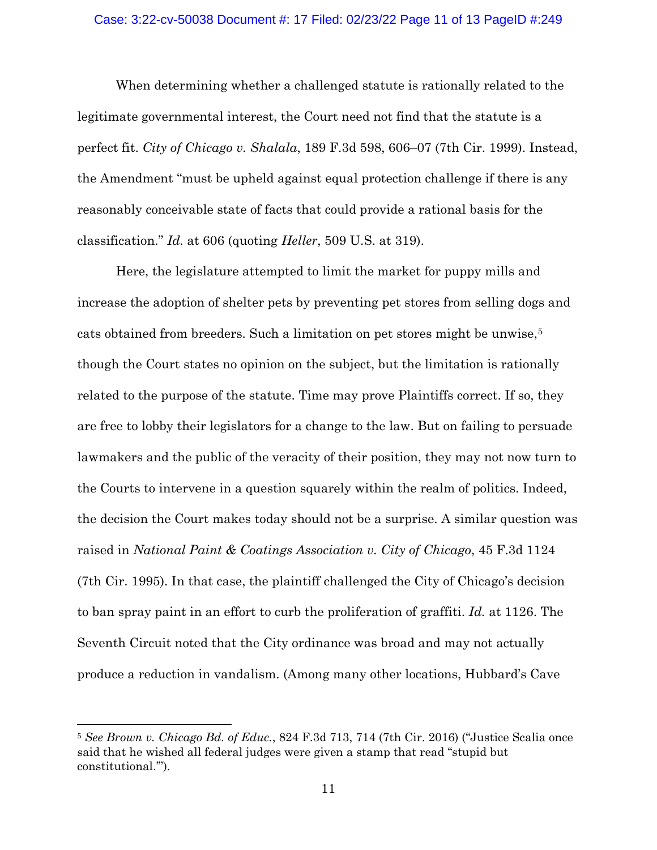### Case: 3:22-cv-50038 Document #: 17 Filed: 02/23/22 Page 11 of 13 PageID #:249

When determining whether a challenged statute is rationally related to the legitimate governmental interest, the Court need not find that the statute is a perfect fit. *City of Chicago v. Shalala*, 189 F.3d 598, 606–07 (7th Cir. 1999). Instead, the Amendment "must be upheld against equal protection challenge if there is any reasonably conceivable state of facts that could provide a rational basis for the classification." *Id.* at 606 (quoting *Heller*, 509 U.S. at 319).

Here, the legislature attempted to limit the market for puppy mills and increase the adoption of shelter pets by preventing pet stores from selling dogs and cats obtained from breeders. Such a limitation on pet stores might be unwise,5 though the Court states no opinion on the subject, but the limitation is rationally related to the purpose of the statute. Time may prove Plaintiffs correct. If so, they are free to lobby their legislators for a change to the law. But on failing to persuade lawmakers and the public of the veracity of their position, they may not now turn to the Courts to intervene in a question squarely within the realm of politics. Indeed, the decision the Court makes today should not be a surprise. A similar question was raised in *National Paint & Coatings Association v. City of Chicago*, 45 F.3d 1124 (7th Cir. 1995). In that case, the plaintiff challenged the City of Chicago's decision to ban spray paint in an effort to curb the proliferation of graffiti. *Id.* at 1126. The Seventh Circuit noted that the City ordinance was broad and may not actually produce a reduction in vandalism. (Among many other locations, Hubbard's Cave

<sup>5</sup> *See Brown v. Chicago Bd. of Educ.*, 824 F.3d 713, 714 (7th Cir. 2016) ("Justice Scalia once said that he wished all federal judges were given a stamp that read "stupid but constitutional.'").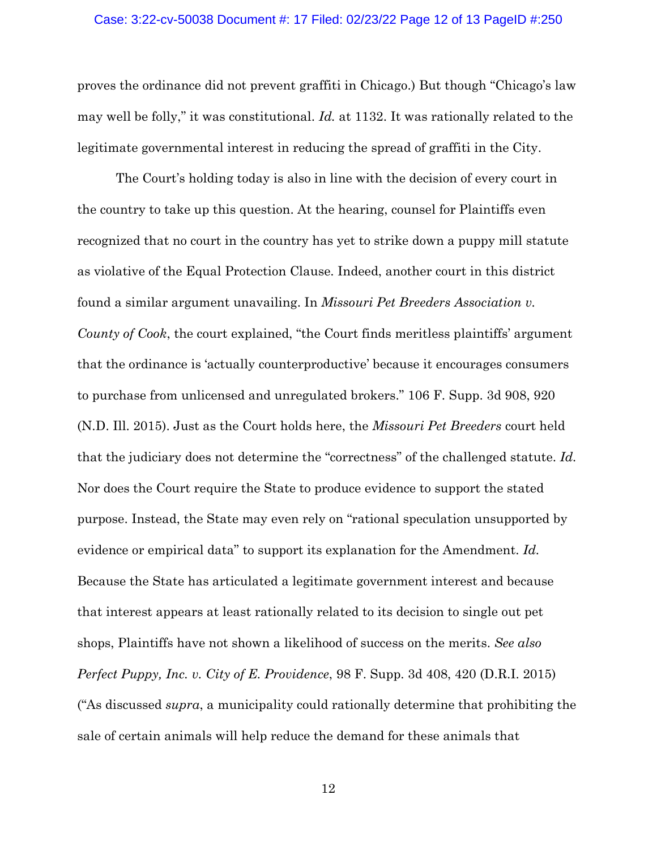#### Case: 3:22-cv-50038 Document #: 17 Filed: 02/23/22 Page 12 of 13 PageID #:250

proves the ordinance did not prevent graffiti in Chicago.) But though "Chicago's law may well be folly," it was constitutional. *Id.* at 1132. It was rationally related to the legitimate governmental interest in reducing the spread of graffiti in the City.

The Court's holding today is also in line with the decision of every court in the country to take up this question. At the hearing, counsel for Plaintiffs even recognized that no court in the country has yet to strike down a puppy mill statute as violative of the Equal Protection Clause. Indeed, another court in this district found a similar argument unavailing. In *Missouri Pet Breeders Association v. County of Cook*, the court explained, "the Court finds meritless plaintiffs' argument that the ordinance is 'actually counterproductive' because it encourages consumers to purchase from unlicensed and unregulated brokers." 106 F. Supp. 3d 908, 920 (N.D. Ill. 2015). Just as the Court holds here, the *Missouri Pet Breeders* court held that the judiciary does not determine the "correctness" of the challenged statute. *Id.* Nor does the Court require the State to produce evidence to support the stated purpose. Instead, the State may even rely on "rational speculation unsupported by evidence or empirical data" to support its explanation for the Amendment. *Id.* Because the State has articulated a legitimate government interest and because that interest appears at least rationally related to its decision to single out pet shops, Plaintiffs have not shown a likelihood of success on the merits. *See also Perfect Puppy, Inc. v. City of E. Providence*, 98 F. Supp. 3d 408, 420 (D.R.I. 2015) ("As discussed *supra*, a municipality could rationally determine that prohibiting the sale of certain animals will help reduce the demand for these animals that